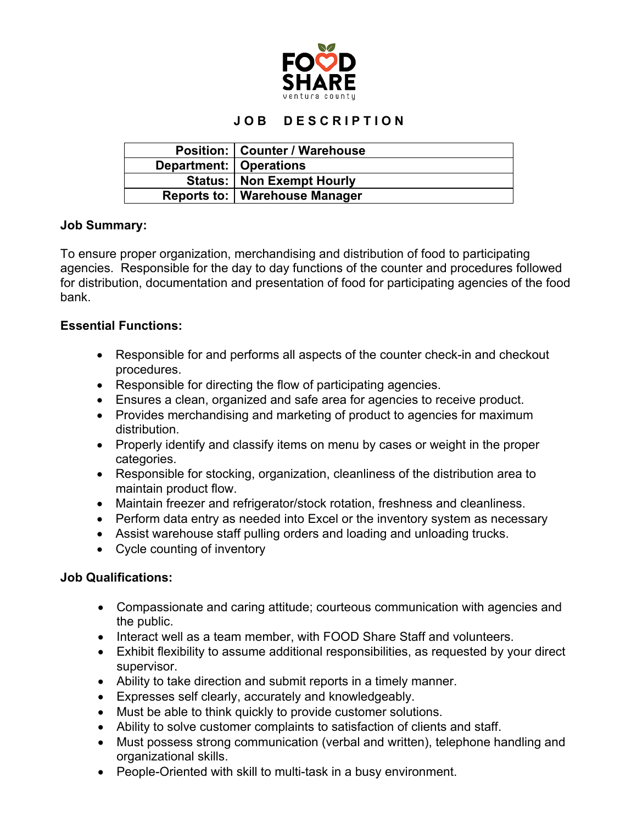

# **J O B D E S C R I P T I O N**

|                          | <b>Position:   Counter / Warehouse</b> |
|--------------------------|----------------------------------------|
| Department:   Operations |                                        |
|                          | <b>Status:   Non Exempt Hourly</b>     |
|                          | Reports to:   Warehouse Manager        |

#### **Job Summary:**

To ensure proper organization, merchandising and distribution of food to participating agencies. Responsible for the day to day functions of the counter and procedures followed for distribution, documentation and presentation of food for participating agencies of the food bank.

## **Essential Functions:**

- Responsible for and performs all aspects of the counter check-in and checkout procedures.
- Responsible for directing the flow of participating agencies.
- Ensures a clean, organized and safe area for agencies to receive product.
- Provides merchandising and marketing of product to agencies for maximum distribution.
- Properly identify and classify items on menu by cases or weight in the proper categories.
- Responsible for stocking, organization, cleanliness of the distribution area to maintain product flow.
- Maintain freezer and refrigerator/stock rotation, freshness and cleanliness.
- Perform data entry as needed into Excel or the inventory system as necessary
- Assist warehouse staff pulling orders and loading and unloading trucks.
- Cycle counting of inventory

#### **Job Qualifications:**

- Compassionate and caring attitude; courteous communication with agencies and the public.
- Interact well as a team member, with FOOD Share Staff and volunteers.
- Exhibit flexibility to assume additional responsibilities, as requested by your direct supervisor.
- Ability to take direction and submit reports in a timely manner.
- Expresses self clearly, accurately and knowledgeably.
- Must be able to think quickly to provide customer solutions.
- Ability to solve customer complaints to satisfaction of clients and staff.
- Must possess strong communication (verbal and written), telephone handling and organizational skills.
- People-Oriented with skill to multi-task in a busy environment.